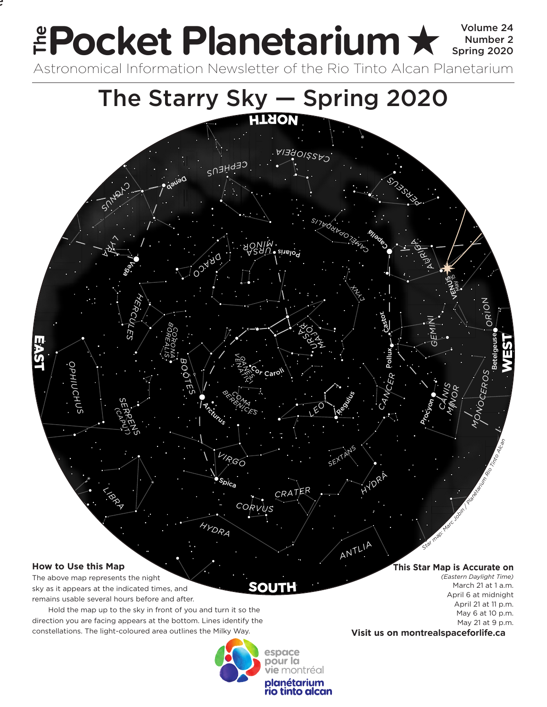## Pocket Planetarium **★ Spring 2020** Number 2 **EPOCKET PIANETATIUM X** Spring 2020 **e**

Astronomical Information Newsletter of the Rio Tinto Alcan Planetarium



## **How to Use this Map**

.<br>.

The above map represents the night sky as it appears at the indicated times, and remains usable several hours before and after.

Hold the map up to the sky in front of you and turn it so the direction you are facing appears at the bottom. Lines identify the constellations. The light-coloured area outlines the Milky Way.



SOUT

**This Star Map is Accurate on**

*(Eastern Daylight Time)* March 21 at 1 a.m. April 6 at midnight April 21 at 11 p.m. May 6 at 10 p.m. May 21 at 9 p.m.

**Visit us on montrealspaceforlife.ca**